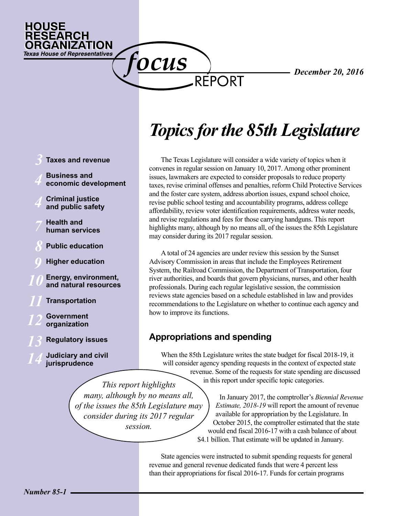

# *Topics for the 85th Legislature*

REPORT

The Texas Legislature will consider a wide variety of topics when it convenes in regular session on January 10, 2017. Among other prominent issues, lawmakers are expected to consider proposals to reduce property taxes, revise criminal offenses and penalties, reform Child Protective Services and the foster care system, address abortion issues, expand school choice, revise public school testing and accountability programs, address college affordability, review voter identification requirements, address water needs, and revise regulations and fees for those carrying handguns. This report highlights many, although by no means all, of the issues the 85th Legislature may consider during its 2017 regular session.

A total of 24 agencies are under review this session by the Sunset Advisory Commission in areas that include the Employees Retirement System, the Railroad Commission, the Department of Transportation, four river authorities, and boards that govern physicians, nurses, and other health professionals. During each regular legislative session, the commission reviews state agencies based on a schedule established in law and provides recommendations to the Legislature on whether to continue each agency and how to improve its functions.

## **Appropriations and spending**

*This report highlights many, although by no means all,* 

<u>OCUS</u>

*consider during its 2017 regular session.*

When the 85th Legislature writes the state budget for fiscal 2018-19, it will consider agency spending requests in the context of expected state revenue. Some of the requests for state spending are discussed in this report under specific topic categories.

*of the issues the 85th Legislature may*  In January 2017, the comptroller's *Biennial Revenue Estimate, 2018-19* will report the amount of revenue available for appropriation by the Legislature. In October 2015, the comptroller estimated that the state would end fiscal 2016-17 with a cash balance of about \$4.1 billion. That estimate will be updated in January.

> State agencies were instructed to submit spending requests for general revenue and general revenue dedicated funds that were 4 percent less than their appropriations for fiscal 2016-17. Funds for certain programs

**Business and economic development Criminal justice and public safety Health and human services Public education Higher education Energy, environment, and natural resources Transportation Government organization Regulatory issues Judiciary and civil jurisprudence** *3 11 12 14 10 8 4 4 7 13 9*

**Taxes and revenue**

HOUSE

**RESEARCH** 

ORGANIZATION **Texas House of Representatives**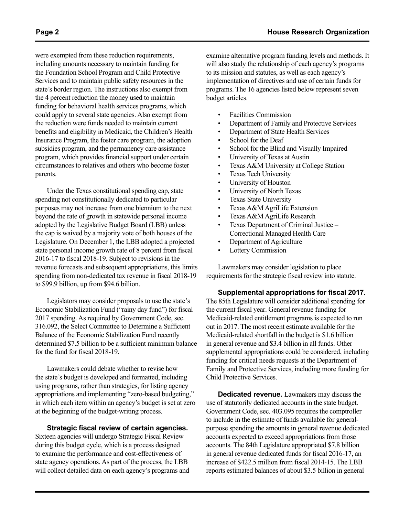were exempted from these reduction requirements, including amounts necessary to maintain funding for the Foundation School Program and Child Protective Services and to maintain public safety resources in the state's border region. The instructions also exempt from the 4 percent reduction the money used to maintain funding for behavioral health services programs, which could apply to several state agencies. Also exempt from the reduction were funds needed to maintain current benefits and eligibility in Medicaid, the Children's Health Insurance Program, the foster care program, the adoption subsidies program, and the permanency care assistance program, which provides financial support under certain circumstances to relatives and others who become foster parents.

Under the Texas constitutional spending cap, state spending not constitutionally dedicated to particular purposes may not increase from one biennium to the next beyond the rate of growth in statewide personal income adopted by the Legislative Budget Board (LBB) unless the cap is waived by a majority vote of both houses of the Legislature. On December 1, the LBB adopted a projected state personal income growth rate of 8 percent from fiscal 2016-17 to fiscal 2018-19. Subject to revisions in the revenue forecasts and subsequent appropriations, this limits spending from non-dedicated tax revenue in fiscal 2018-19 to \$99.9 billion, up from \$94.6 billion.

Legislators may consider proposals to use the state's Economic Stabilization Fund ("rainy day fund") for fiscal 2017 spending. As required by Government Code, sec. 316.092, the Select Committee to Determine a Sufficient Balance of the Economic Stabilization Fund recently determined \$7.5 billion to be a sufficient minimum balance for the fund for fiscal 2018-19.

Lawmakers could debate whether to revise how the state's budget is developed and formatted, including using programs, rather than strategies, for listing agency appropriations and implementing "zero-based budgeting," in which each item within an agency's budget is set at zero at the beginning of the budget-writing process.

#### **Strategic fiscal review of certain agencies.**

Sixteen agencies will undergo Strategic Fiscal Review during this budget cycle, which is a process designed to examine the performance and cost-effectiveness of state agency operations. As part of the process, the LBB will collect detailed data on each agency's programs and examine alternative program funding levels and methods. It will also study the relationship of each agency's programs to its mission and statutes, as well as each agency's implementation of directives and use of certain funds for programs. The 16 agencies listed below represent seven budget articles.

- Facilities Commission
- Department of Family and Protective Services
- Department of State Health Services
- School for the Deaf
- School for the Blind and Visually Impaired
- University of Texas at Austin
- Texas A&M University at College Station
- Texas Tech University
- University of Houston
- University of North Texas
- Texas State University
- Texas A&M AgriLife Extension
- Texas A&M AgriLife Research
- Texas Department of Criminal Justice Correctional Managed Health Care
- Department of Agriculture
- Lottery Commission

Lawmakers may consider legislation to place requirements for the strategic fiscal review into statute.

**Supplemental appropriations for fiscal 2017.** The 85th Legislature will consider additional spending for the current fiscal year. General revenue funding for Medicaid-related entitlement programs is expected to run out in 2017. The most recent estimate available for the Medicaid-related shortfall in the budget is \$1.6 billion in general revenue and \$3.4 billion in all funds. Other supplemental appropriations could be considered, including funding for critical needs requests at the Department of Family and Protective Services, including more funding for Child Protective Services.

**Dedicated revenue.** Lawmakers may discuss the use of statutorily dedicated accounts in the state budget. Government Code, sec. 403.095 requires the comptroller to include in the estimate of funds available for generalpurpose spending the amounts in general revenue dedicated accounts expected to exceed appropriations from those accounts. The 84th Legislature appropriated \$7.8 billion in general revenue dedicated funds for fiscal 2016-17, an increase of \$422.5 million from fiscal 2014-15. The LBB reports estimated balances of about \$3.5 billion in general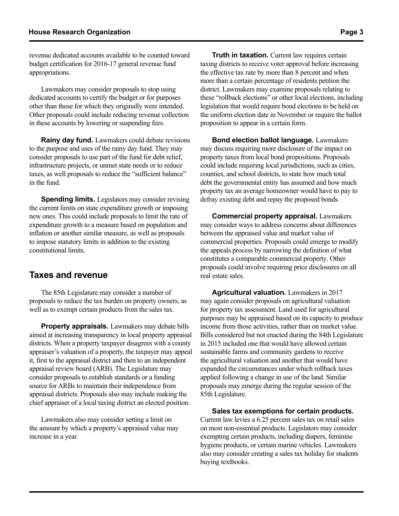revenue dedicated accounts available to be counted toward budget certification for 2016-17 general revenue fund appropriations.

Lawmakers may consider proposals to stop using dedicated accounts to certify the budget or for purposes other than those for which they originally were intended. Other proposals could include reducing revenue collection in these accounts by lowering or suspending fees.

**Rainy day fund.** Lawmakers could debate revisions to the purpose and uses of the rainy day fund. They may consider proposals to use part of the fund for debt relief, infrastructure projects, or unmet state needs or to reduce taxes, as well proposals to reduce the "sufficient balance" in the fund.

**Spending limits.** Legislators may consider revising the current limits on state expenditure growth or imposing new ones. This could include proposals to limit the rate of expenditure growth to a measure based on population and inflation or another similar measure, as well as proposals to impose statutory limits in addition to the existing constitutional limits.

## **Taxes and revenue**

The 85th Legislature may consider a number of proposals to reduce the tax burden on property owners, as well as to exempt certain products from the sales tax.

**Property appraisals.** Lawmakers may debate bills aimed at increasing transparency in local property appraisal districts. When a property taxpayer disagrees with a county appraiser's valuation of a property, the taxpayer may appeal it, first to the appraisal district and then to an independent appraisal review board (ARB). The Legislature may consider proposals to establish standards or a funding source for ARBs to maintain their independence from appraisal districts. Proposals also may include making the chief appraiser of a local taxing district an elected position.

Lawmakers also may consider setting a limit on the amount by which a property's appraised value may increase in a year.

**Truth in taxation.** Current law requires certain taxing districts to receive voter approval before increasing the effective tax rate by more than 8 percent and when more than a certain percentage of residents petition the district. Lawmakers may examine proposals relating to these "rollback elections" or other local elections, including legislation that would require bond elections to be held on the uniform election date in November or require the ballot proposition to appear in a certain form.

**Bond election ballot language.** Lawmakers may discuss requiring more disclosure of the impact on property taxes from local bond propositions. Proposals could include requiring local jurisdictions, such as cities, counties, and school districts, to state how much total debt the governmental entity has assumed and how much property tax an average homeowner would have to pay to defray existing debt and repay the proposed bonds.

**Commercial property appraisal.** Lawmakers may consider ways to address concerns about differences between the appraised value and market value of commercial properties. Proposals could emerge to modify the appeals process by narrowing the definition of what constitutes a comparable commercial property. Other proposals could involve requiring price disclosures on all real estate sales.

**Agricultural valuation.** Lawmakers in 2017 may again consider proposals on agricultural valuation for property tax assessment. Land used for agricultural purposes may be appraised based on its capacity to produce income from those activities, rather than on market value. Bills considered but not enacted during the 84th Legislature in 2015 included one that would have allowed certain sustainable farms and community gardens to receive the agricultural valuation and another that would have expanded the circumstances under which rollback taxes applied following a change in use of the land. Similar proposals may emerge during the regular session of the 85th Legislature.

**Sales tax exemptions for certain products.** Current law levies a 6.25 percent sales tax on retail sales on most non-essential products. Legislators may consider exempting certain products, including diapers, feminine hygiene products, or certain marine vehicles. Lawmakers also may consider creating a sales tax holiday for students buying textbooks.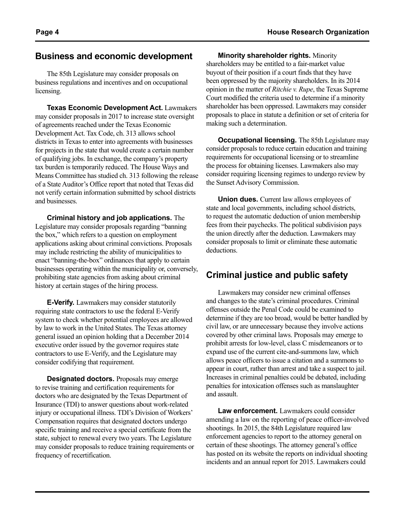## **Business and economic development**

The 85th Legislature may consider proposals on business regulations and incentives and on occupational licensing.

**Texas Economic Development Act.** Lawmakers may consider proposals in 2017 to increase state oversight of agreements reached under the Texas Economic Development Act. Tax Code, ch. 313 allows school districts in Texas to enter into agreements with businesses for projects in the state that would create a certain number of qualifying jobs. In exchange, the company's property tax burden is temporarily reduced. The House Ways and Means Committee has studied ch. 313 following the release of a State Auditor's Office report that noted that Texas did not verify certain information submitted by school districts and businesses.

**Criminal history and job applications.** The Legislature may consider proposals regarding "banning the box," which refers to a question on employment applications asking about criminal convictions. Proposals may include restricting the ability of municipalities to enact "banning-the-box" ordinances that apply to certain businesses operating within the municipality or, conversely, prohibiting state agencies from asking about criminal history at certain stages of the hiring process.

**E-Verify.** Lawmakers may consider statutorily requiring state contractors to use the federal E-Verify system to check whether potential employees are allowed by law to work in the United States. The Texas attorney general issued an opinion holding that a December 2014 executive order issued by the governor requires state contractors to use E-Verify, and the Legislature may consider codifying that requirement.

**Designated doctors.** Proposals may emerge to revise training and certification requirements for doctors who are designated by the Texas Department of Insurance (TDI) to answer questions about work-related injury or occupational illness. TDI's Division of Workers' Compensation requires that designated doctors undergo specific training and receive a special certificate from the state, subject to renewal every two years. The Legislature may consider proposals to reduce training requirements or frequency of recertification.

**Minority shareholder rights.** Minority shareholders may be entitled to a fair-market value buyout of their position if a court finds that they have been oppressed by the majority shareholders. In its 2014 opinion in the matter of *Ritchie v. Rupe*, the Texas Supreme Court modified the criteria used to determine if a minority shareholder has been oppressed. Lawmakers may consider proposals to place in statute a definition or set of criteria for making such a determination.

**Occupational licensing.** The 85th Legislature may consider proposals to reduce certain education and training requirements for occupational licensing or to streamline the process for obtaining licenses. Lawmakers also may consider requiring licensing regimes to undergo review by the Sunset Advisory Commission.

**Union dues.** Current law allows employees of state and local governments, including school districts, to request the automatic deduction of union membership fees from their paychecks. The political subdivision pays the union directly after the deduction. Lawmakers may consider proposals to limit or eliminate these automatic deductions.

# **Criminal justice and public safety**

Lawmakers may consider new criminal offenses and changes to the state's criminal procedures. Criminal offenses outside the Penal Code could be examined to determine if they are too broad, would be better handled by civil law, or are unnecessary because they involve actions covered by other criminal laws. Proposals may emerge to prohibit arrests for low-level, class C misdemeanors or to expand use of the current cite-and-summons law, which allows peace officers to issue a citation and a summons to appear in court, rather than arrest and take a suspect to jail. Increases in criminal penalties could be debated, including penalties for intoxication offenses such as manslaughter and assault.

**Law enforcement.** Lawmakers could consider amending a law on the reporting of peace officer-involved shootings. In 2015, the 84th Legislature required law enforcement agencies to report to the attorney general on certain of these shootings. The attorney general's office has posted on its website the reports on individual shooting incidents and an annual report for 2015. Lawmakers could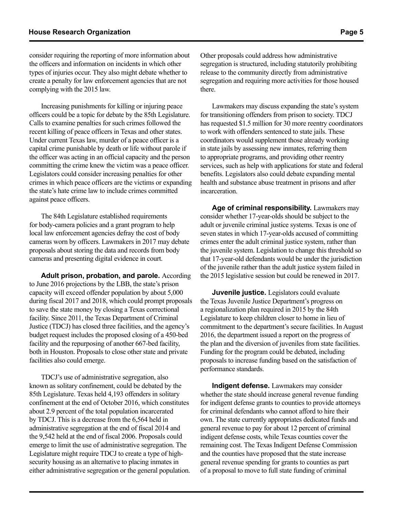consider requiring the reporting of more information about the officers and information on incidents in which other types of injuries occur. They also might debate whether to create a penalty for law enforcement agencies that are not complying with the 2015 law.

Increasing punishments for killing or injuring peace officers could be a topic for debate by the 85th Legislature. Calls to examine penalties for such crimes followed the recent killing of peace officers in Texas and other states. Under current Texas law, murder of a peace officer is a capital crime punishable by death or life without parole if the officer was acting in an official capacity and the person committing the crime knew the victim was a peace officer. Legislators could consider increasing penalties for other crimes in which peace officers are the victims or expanding the state's hate crime law to include crimes committed against peace officers.

The 84th Legislature established requirements for body-camera policies and a grant program to help local law enforcement agencies defray the cost of body cameras worn by officers. Lawmakers in 2017 may debate proposals about storing the data and records from body cameras and presenting digital evidence in court.

**Adult prison, probation, and parole.** According to June 2016 projections by the LBB, the state's prison capacity will exceed offender population by about 5,000 during fiscal 2017 and 2018, which could prompt proposals to save the state money by closing a Texas correctional facility. Since 2011, the Texas Department of Criminal Justice (TDCJ) has closed three facilities, and the agency's budget request includes the proposed closing of a 450-bed facility and the repurposing of another 667-bed facility, both in Houston. Proposals to close other state and private facilities also could emerge.

TDCJ's use of administrative segregation, also known as solitary confinement, could be debated by the 85th Legislature. Texas held 4,193 offenders in solitary confinement at the end of October 2016, which constitutes about 2.9 percent of the total population incarcerated by TDCJ. This is a decrease from the 6,564 held in administrative segregation at the end of fiscal 2014 and the 9,542 held at the end of fiscal 2006. Proposals could emerge to limit the use of administrative segregation. The Legislature might require TDCJ to create a type of highsecurity housing as an alternative to placing inmates in either administrative segregation or the general population. Other proposals could address how administrative segregation is structured, including statutorily prohibiting release to the community directly from administrative segregation and requiring more activities for those housed there.

Lawmakers may discuss expanding the state's system for transitioning offenders from prison to society. TDCJ has requested \$1.5 million for 30 more reentry coordinators to work with offenders sentenced to state jails. These coordinators would supplement those already working in state jails by assessing new inmates, referring them to appropriate programs, and providing other reentry services, such as help with applications for state and federal benefits. Legislators also could debate expanding mental health and substance abuse treatment in prisons and after incarceration.

**Age of criminal responsibility.** Lawmakers may consider whether 17-year-olds should be subject to the adult or juvenile criminal justice systems. Texas is one of seven states in which 17-year-olds accused of committing crimes enter the adult criminal justice system, rather than the juvenile system. Legislation to change this threshold so that 17-year-old defendants would be under the jurisdiction of the juvenile rather than the adult justice system failed in the 2015 legislative session but could be renewed in 2017.

**Juvenile justice.** Legislators could evaluate the Texas Juvenile Justice Department's progress on a regionalization plan required in 2015 by the 84th Legislature to keep children closer to home in lieu of commitment to the department's secure facilities. In August 2016, the department issued a report on the progress of the plan and the diversion of juveniles from state facilities. Funding for the program could be debated, including proposals to increase funding based on the satisfaction of performance standards.

**Indigent defense.** Lawmakers may consider whether the state should increase general revenue funding for indigent defense grants to counties to provide attorneys for criminal defendants who cannot afford to hire their own. The state currently appropriates dedicated funds and general revenue to pay for about 12 percent of criminal indigent defense costs, while Texas counties cover the remaining cost. The Texas Indigent Defense Commission and the counties have proposed that the state increase general revenue spending for grants to counties as part of a proposal to move to full state funding of criminal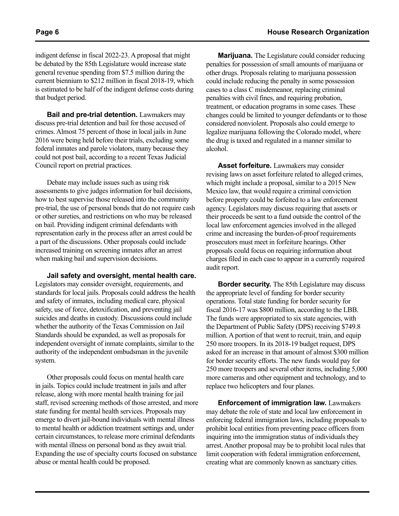indigent defense in fiscal 2022-23. A proposal that might be debated by the 85th Legislature would increase state general revenue spending from \$7.5 million during the current biennium to \$212 million in fiscal 2018-19, which is estimated to be half of the indigent defense costs during that budget period.

**Bail and pre-trial detention.** Lawmakers may discuss pre-trial detention and bail for those accused of crimes. Almost 75 percent of those in local jails in June 2016 were being held before their trials, excluding some federal inmates and parole violators, many because they could not post bail, according to a recent Texas Judicial Council report on pretrial practices.

Debate may include issues such as using risk assessments to give judges information for bail decisions, how to best supervise those released into the community pre-trial, the use of personal bonds that do not require cash or other sureties, and restrictions on who may be released on bail. Providing indigent criminal defendants with representation early in the process after an arrest could be a part of the discussions. Other proposals could include increased training on screening inmates after an arrest when making bail and supervision decisions.

**Jail safety and oversight, mental health care.**  Legislators may consider oversight, requirements, and standards for local jails. Proposals could address the health and safety of inmates, including medical care, physical safety, use of force, detoxification, and preventing jail suicides and deaths in custody. Discussions could include whether the authority of the Texas Commission on Jail Standards should be expanded, as well as proposals for independent oversight of inmate complaints, similar to the authority of the independent ombudsman in the juvenile system.

Other proposals could focus on mental health care in jails. Topics could include treatment in jails and after release, along with more mental health training for jail staff, revised screening methods of those arrested, and more state funding for mental health services. Proposals may emerge to divert jail-bound individuals with mental illness to mental health or addiction treatment settings and, under certain circumstances, to release more criminal defendants with mental illness on personal bond as they await trial. Expanding the use of specialty courts focused on substance abuse or mental health could be proposed.

**Marijuana.** The Legislature could consider reducing penalties for possession of small amounts of marijuana or other drugs. Proposals relating to marijuana possession could include reducing the penalty in some possession cases to a class C misdemeanor, replacing criminal penalties with civil fines, and requiring probation, treatment, or education programs in some cases. These changes could be limited to younger defendants or to those considered nonviolent. Proposals also could emerge to legalize marijuana following the Colorado model, where the drug is taxed and regulated in a manner similar to alcohol.

**Asset forfeiture.** Lawmakers may consider revising laws on asset forfeiture related to alleged crimes, which might include a proposal, similar to a 2015 New Mexico law, that would require a criminal conviction before property could be forfeited to a law enforcement agency. Legislators may discuss requiring that assets or their proceeds be sent to a fund outside the control of the local law enforcement agencies involved in the alleged crime and increasing the burden-of-proof requirements prosecutors must meet in forfeiture hearings. Other proposals could focus on requiring information about charges filed in each case to appear in a currently required audit report.

**Border security.** The 85th Legislature may discuss the appropriate level of funding for border security operations. Total state funding for border security for fiscal 2016-17 was \$800 million, according to the LBB. The funds were appropriated to six state agencies, with the Department of Public Safety (DPS) receiving \$749.8 million. A portion of that went to recruit, train, and equip 250 more troopers. In its 2018-19 budget request, DPS asked for an increase in that amount of almost \$300 million for border security efforts. The new funds would pay for 250 more troopers and several other items, including 5,000 more cameras and other equipment and technology, and to replace two helicopters and four planes.

**Enforcement of immigration law.** Lawmakers may debate the role of state and local law enforcement in enforcing federal immigration laws, including proposals to prohibit local entities from preventing peace officers from inquiring into the immigration status of individuals they arrest. Another proposal may be to prohibit local rules that limit cooperation with federal immigration enforcement, creating what are commonly known as sanctuary cities.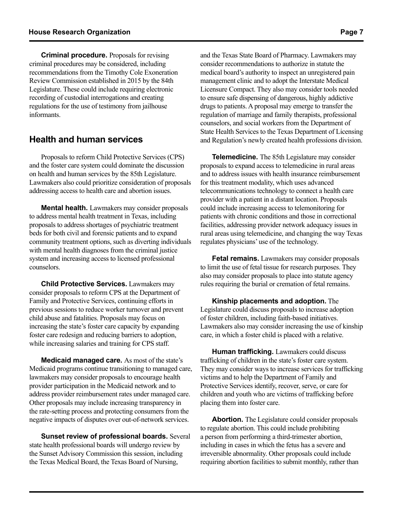**Criminal procedure.** Proposals for revising criminal procedures may be considered, including recommendations from the Timothy Cole Exoneration Review Commission established in 2015 by the 84th Legislature. These could include requiring electronic recording of custodial interrogations and creating regulations for the use of testimony from jailhouse informants.

## **Health and human services**

Proposals to reform Child Protective Services (CPS) and the foster care system could dominate the discussion on health and human services by the 85th Legislature. Lawmakers also could prioritize consideration of proposals addressing access to health care and abortion issues.

**Mental health.** Lawmakers may consider proposals to address mental health treatment in Texas, including proposals to address shortages of psychiatric treatment beds for both civil and forensic patients and to expand community treatment options, such as diverting individuals with mental health diagnoses from the criminal justice system and increasing access to licensed professional counselors.

**Child Protective Services.** Lawmakers may consider proposals to reform CPS at the Department of Family and Protective Services, continuing efforts in previous sessions to reduce worker turnover and prevent child abuse and fatalities. Proposals may focus on increasing the state's foster care capacity by expanding foster care redesign and reducing barriers to adoption, while increasing salaries and training for CPS staff.

**Medicaid managed care.** As most of the state's Medicaid programs continue transitioning to managed care, lawmakers may consider proposals to encourage health provider participation in the Medicaid network and to address provider reimbursement rates under managed care. Other proposals may include increasing transparency in the rate-setting process and protecting consumers from the negative impacts of disputes over out-of-network services.

**Sunset review of professional boards.** Several state health professional boards will undergo review by the Sunset Advisory Commission this session, including the Texas Medical Board, the Texas Board of Nursing,

and the Texas State Board of Pharmacy. Lawmakers may consider recommendations to authorize in statute the medical board's authority to inspect an unregistered pain management clinic and to adopt the Interstate Medical Licensure Compact. They also may consider tools needed to ensure safe dispensing of dangerous, highly addictive drugs to patients. A proposal may emerge to transfer the regulation of marriage and family therapists, professional counselors, and social workers from the Department of State Health Services to the Texas Department of Licensing and Regulation's newly created health professions division.

**Telemedicine.** The 85th Legislature may consider proposals to expand access to telemedicine in rural areas and to address issues with health insurance reimbursement for this treatment modality, which uses advanced telecommunications technology to connect a health care provider with a patient in a distant location. Proposals could include increasing access to telemonitoring for patients with chronic conditions and those in correctional facilities, addressing provider network adequacy issues in rural areas using telemedicine, and changing the way Texas regulates physicians' use of the technology.

**Fetal remains.** Lawmakers may consider proposals to limit the use of fetal tissue for research purposes. They also may consider proposals to place into statute agency rules requiring the burial or cremation of fetal remains.

**Kinship placements and adoption.** The Legislature could discuss proposals to increase adoption of foster children, including faith-based initiatives. Lawmakers also may consider increasing the use of kinship care, in which a foster child is placed with a relative.

**Human trafficking.** Lawmakers could discuss trafficking of children in the state's foster care system. They may consider ways to increase services for trafficking victims and to help the Department of Family and Protective Services identify, recover, serve, or care for children and youth who are victims of trafficking before placing them into foster care.

**Abortion.** The Legislature could consider proposals to regulate abortion. This could include prohibiting a person from performing a third-trimester abortion, including in cases in which the fetus has a severe and irreversible abnormality. Other proposals could include requiring abortion facilities to submit monthly, rather than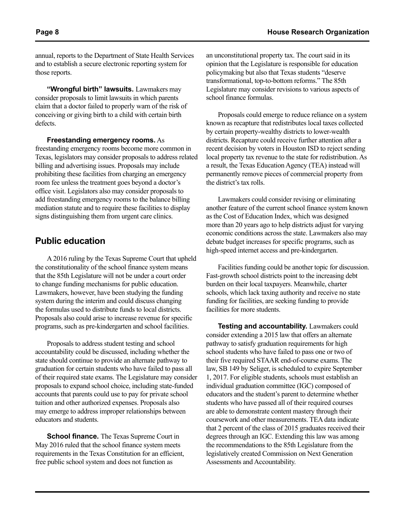annual, reports to the Department of State Health Services and to establish a secure electronic reporting system for those reports.

**"Wrongful birth" lawsuits.** Lawmakers may consider proposals to limit lawsuits in which parents claim that a doctor failed to properly warn of the risk of conceiving or giving birth to a child with certain birth defects.

**Freestanding emergency rooms.** As freestanding emergency rooms become more common in Texas, legislators may consider proposals to address related billing and advertising issues. Proposals may include prohibiting these facilities from charging an emergency room fee unless the treatment goes beyond a doctor's office visit. Legislators also may consider proposals to add freestanding emergency rooms to the balance billing mediation statute and to require these facilities to display signs distinguishing them from urgent care clinics.

## **Public education**

A 2016 ruling by the Texas Supreme Court that upheld the constitutionality of the school finance system means that the 85th Legislature will not be under a court order to change funding mechanisms for public education. Lawmakers, however, have been studying the funding system during the interim and could discuss changing the formulas used to distribute funds to local districts. Proposals also could arise to increase revenue for specific programs, such as pre-kindergarten and school facilities.

Proposals to address student testing and school accountability could be discussed, including whether the state should continue to provide an alternate pathway to graduation for certain students who have failed to pass all of their required state exams. The Legislature may consider proposals to expand school choice, including state-funded accounts that parents could use to pay for private school tuition and other authorized expenses. Proposals also may emerge to address improper relationships between educators and students.

**School finance.** The Texas Supreme Court in May 2016 ruled that the school finance system meets requirements in the Texas Constitution for an efficient, free public school system and does not function as

an unconstitutional property tax. The court said in its opinion that the Legislature is responsible for education policymaking but also that Texas students "deserve transformational, top-to-bottom reforms." The 85th Legislature may consider revisions to various aspects of school finance formulas.

Proposals could emerge to reduce reliance on a system known as recapture that redistributes local taxes collected by certain property-wealthy districts to lower-wealth districts. Recapture could receive further attention after a recent decision by voters in Houston ISD to reject sending local property tax revenue to the state for redistribution. As a result, the Texas Education Agency (TEA) instead will permanently remove pieces of commercial property from the district's tax rolls.

Lawmakers could consider revising or eliminating another feature of the current school finance system known as the Cost of Education Index, which was designed more than 20 years ago to help districts adjust for varying economic conditions across the state. Lawmakers also may debate budget increases for specific programs, such as high-speed internet access and pre-kindergarten.

Facilities funding could be another topic for discussion. Fast-growth school districts point to the increasing debt burden on their local taxpayers. Meanwhile, charter schools, which lack taxing authority and receive no state funding for facilities, are seeking funding to provide facilities for more students.

**Testing and accountability.** Lawmakers could consider extending a 2015 law that offers an alternate pathway to satisfy graduation requirements for high school students who have failed to pass one or two of their five required STAAR end-of-course exams. The law, SB 149 by Seliger, is scheduled to expire September 1, 2017. For eligible students, schools must establish an individual graduation committee (IGC) composed of educators and the student's parent to determine whether students who have passed all of their required courses are able to demonstrate content mastery through their coursework and other measurements. TEA data indicate that 2 percent of the class of 2015 graduates received their degrees through an IGC. Extending this law was among the recommendations to the 85th Legislature from the legislatively created Commission on Next Generation Assessments and Accountability.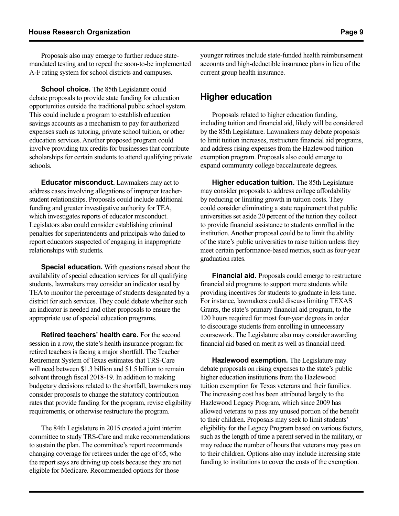Proposals also may emerge to further reduce statemandated testing and to repeal the soon-to-be implemented A-F rating system for school districts and campuses.

**School choice.** The 85th Legislature could debate proposals to provide state funding for education opportunities outside the traditional public school system. This could include a program to establish education savings accounts as a mechanism to pay for authorized expenses such as tutoring, private school tuition, or other education services. Another proposed program could involve providing tax credits for businesses that contribute scholarships for certain students to attend qualifying private schools.

**Educator misconduct.** Lawmakers may act to address cases involving allegations of improper teacherstudent relationships. Proposals could include additional funding and greater investigative authority for TEA, which investigates reports of educator misconduct. Legislators also could consider establishing criminal penalties for superintendents and principals who failed to report educators suspected of engaging in inappropriate relationships with students.

**Special education.** With questions raised about the availability of special education services for all qualifying students, lawmakers may consider an indicator used by TEA to monitor the percentage of students designated by a district for such services. They could debate whether such an indicator is needed and other proposals to ensure the appropriate use of special education programs.

**Retired teachers' health care.** For the second session in a row, the state's health insurance program for retired teachers is facing a major shortfall. The Teacher Retirement System of Texas estimates that TRS-Care will need between \$1.3 billion and \$1.5 billion to remain solvent through fiscal 2018-19. In addition to making budgetary decisions related to the shortfall, lawmakers may consider proposals to change the statutory contribution rates that provide funding for the program, revise eligibility requirements, or otherwise restructure the program.

The 84th Legislature in 2015 created a joint interim committee to study TRS-Care and make recommendations to sustain the plan. The committee's report recommends changing coverage for retirees under the age of 65, who the report says are driving up costs because they are not eligible for Medicare. Recommended options for those

younger retirees include state-funded health reimbursement accounts and high-deductible insurance plans in lieu of the current group health insurance.

## **Higher education**

Proposals related to higher education funding, including tuition and financial aid, likely will be considered by the 85th Legislature. Lawmakers may debate proposals to limit tuition increases, restructure financial aid programs, and address rising expenses from the Hazlewood tuition exemption program. Proposals also could emerge to expand community college baccalaureate degrees.

**Higher education tuition.** The 85th Legislature may consider proposals to address college affordability by reducing or limiting growth in tuition costs. They could consider eliminating a state requirement that public universities set aside 20 percent of the tuition they collect to provide financial assistance to students enrolled in the institution. Another proposal could be to limit the ability of the state's public universities to raise tuition unless they meet certain performance-based metrics, such as four-year graduation rates.

**Financial aid.** Proposals could emerge to restructure financial aid programs to support more students while providing incentives for students to graduate in less time. For instance, lawmakers could discuss limiting TEXAS Grants, the state's primary financial aid program, to the 120 hours required for most four-year degrees in order to discourage students from enrolling in unnecessary coursework. The Legislature also may consider awarding financial aid based on merit as well as financial need.

**Hazlewood exemption.** The Legislature may debate proposals on rising expenses to the state's public higher education institutions from the Hazlewood tuition exemption for Texas veterans and their families. The increasing cost has been attributed largely to the Hazlewood Legacy Program, which since 2009 has allowed veterans to pass any unused portion of the benefit to their children. Proposals may seek to limit students' eligibility for the Legacy Program based on various factors, such as the length of time a parent served in the military, or may reduce the number of hours that veterans may pass on to their children. Options also may include increasing state funding to institutions to cover the costs of the exemption.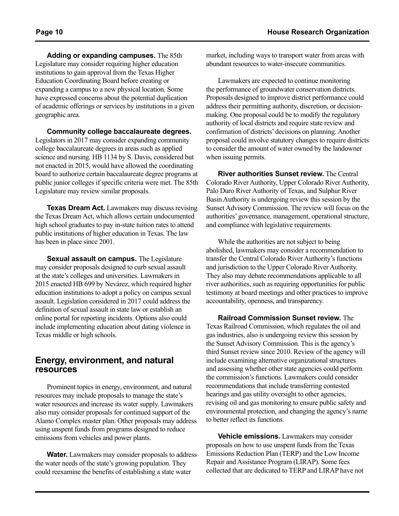**Adding or expanding campuses.** The 85th Legislature may consider requiring higher education institutions to gain approval from the Texas Higher Education Coordinating Board before creating or expanding a campus to a new physical location. Some have expressed concerns about the potential duplication of academic offerings or services by institutions in a given geographic area.

**Community college baccalaureate degrees.**  Legislators in 2017 may consider expanding community college baccalaureate degrees in areas such as applied science and nursing. HB 1134 by S. Davis, considered but not enacted in 2015, would have allowed the coordinating board to authorize certain baccalaureate degree programs at public junior colleges if specific criteria were met. The 85th Legislature may review similar proposals.

**Texas Dream Act.** Lawmakers may discuss revising the Texas Dream Act, which allows certain undocumented high school graduates to pay in-state tuition rates to attend public institutions of higher education in Texas. The law has been in place since 2001.

**Sexual assault on campus.** The Legislature may consider proposals designed to curb sexual assault at the state's colleges and universities. Lawmakers in 2015 enacted HB 699 by Nevárez, which required higher education institutions to adopt a policy on campus sexual assault. Legislation considered in 2017 could address the definition of sexual assault in state law or establish an online portal for reporting incidents. Options also could include implementing education about dating violence in Texas middle or high schools.

#### **Energy, environment, and natural resources**

Prominent topics in energy, environment, and natural resources may include proposals to manage the state's water resources and increase its water supply. Lawmakers also may consider proposals for continued support of the Alamo Complex master plan. Other proposals may address using unspent funds from programs designed to reduce emissions from vehicles and power plants.

**Water.** Lawmakers may consider proposals to address the water needs of the state's growing population. They could reexamine the benefits of establishing a state water

market, including ways to transport water from areas with abundant resources to water-insecure communities.

Lawmakers are expected to continue monitoring the performance of groundwater conservation districts. Proposals designed to improve district performance could address their permitting authority, discretion, or decisionmaking. One proposal could be to modify the regulatory authority of local districts and require state review and confirmation of districts' decisions on planning. Another proposal could involve statutory changes to require districts to consider the amount of water owned by the landowner when issuing permits.

**River authorities Sunset review.** The Central Colorado River Authority, Upper Colorado River Authority, Palo Duro River Authority of Texas, and Sulphur River Basin Authority is undergoing review this session by the Sunset Advisory Commission. The review will focus on the authorities' governance, management, operational structure, and compliance with legislative requirements.

While the authorities are not subject to being abolished, lawmakers may consider a recommendation to transfer the Central Colorado River Authority's functions and jurisdiction to the Upper Colorado River Authority. They also may debate recommendations applicable to all river authorities, such as requiring opportunities for public testimony at board meetings and other practices to improve accountability, openness, and transparency.

**Railroad Commission Sunset review.** The Texas Railroad Commission, which regulates the oil and gas industries, also is undergoing review this session by the Sunset Advisory Commission. This is the agency's third Sunset review since 2010. Review of the agency will include examining alternative organizational structures and assessing whether other state agencies could perform the commission's functions. Lawmakers could consider recommendations that include transferring contested hearings and gas utility oversight to other agencies, revising oil and gas monitoring to ensure public safety and environmental protection, and changing the agency's name to better reflect its functions.

**Vehicle emissions.** Lawmakers may consider proposals on how to use unspent funds from the Texas Emissions Reduction Plan (TERP) and the Low Income Repair and Assistance Program (LIRAP). Some fees collected that are dedicated to TERP and LIRAP have not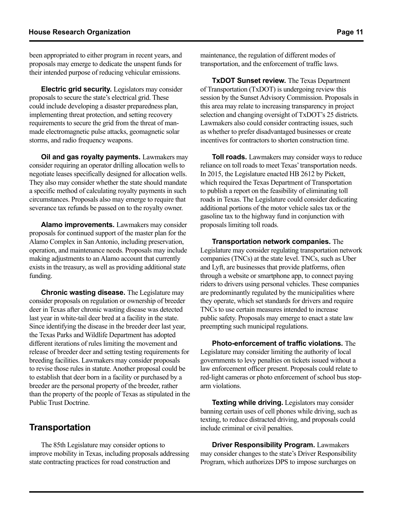been appropriated to either program in recent years, and proposals may emerge to dedicate the unspent funds for their intended purpose of reducing vehicular emissions.

**Electric grid security.** Legislators may consider proposals to secure the state's electrical grid. These could include developing a disaster preparedness plan, implementing threat protection, and setting recovery requirements to secure the grid from the threat of manmade electromagnetic pulse attacks, geomagnetic solar storms, and radio frequency weapons.

**Oil and gas royalty payments.** Lawmakers may consider requiring an operator drilling allocation wells to negotiate leases specifically designed for allocation wells. They also may consider whether the state should mandate a specific method of calculating royalty payments in such circumstances. Proposals also may emerge to require that severance tax refunds be passed on to the royalty owner.

**Alamo improvements.** Lawmakers may consider proposals for continued support of the master plan for the Alamo Complex in San Antonio, including preservation, operation, and maintenance needs. Proposals may include making adjustments to an Alamo account that currently exists in the treasury, as well as providing additional state funding.

**Chronic wasting disease.** The Legislature may consider proposals on regulation or ownership of breeder deer in Texas after chronic wasting disease was detected last year in white-tail deer bred at a facility in the state. Since identifying the disease in the breeder deer last year, the Texas Parks and Wildlife Department has adopted different iterations of rules limiting the movement and release of breeder deer and setting testing requirements for breeding facilities. Lawmakers may consider proposals to revise those rules in statute. Another proposal could be to establish that deer born in a facility or purchased by a breeder are the personal property of the breeder, rather than the property of the people of Texas as stipulated in the Public Trust Doctrine.

# **Transportation**

The 85th Legislature may consider options to improve mobility in Texas, including proposals addressing state contracting practices for road construction and

maintenance, the regulation of different modes of transportation, and the enforcement of traffic laws.

**TxDOT Sunset review.** The Texas Department of Transportation (TxDOT) is undergoing review this session by the Sunset Advisory Commission. Proposals in this area may relate to increasing transparency in project selection and changing oversight of TxDOT's 25 districts. Lawmakers also could consider contracting issues, such as whether to prefer disadvantaged businesses or create incentives for contractors to shorten construction time.

**Toll roads.** Lawmakers may consider ways to reduce reliance on toll roads to meet Texas' transportation needs. In 2015, the Legislature enacted HB 2612 by Pickett, which required the Texas Department of Transportation to publish a report on the feasibility of eliminating toll roads in Texas. The Legislature could consider dedicating additional portions of the motor vehicle sales tax or the gasoline tax to the highway fund in conjunction with proposals limiting toll roads.

**Transportation network companies.** The Legislature may consider regulating transportation network companies (TNCs) at the state level. TNCs, such as Uber and Lyft, are businesses that provide platforms, often through a website or smartphone app, to connect paying riders to drivers using personal vehicles. These companies are predominantly regulated by the municipalities where they operate, which set standards for drivers and require TNCs to use certain measures intended to increase public safety. Proposals may emerge to enact a state law preempting such municipal regulations.

**Photo-enforcement of traffic violations.** The Legislature may consider limiting the authority of local governments to levy penalties on tickets issued without a law enforcement officer present. Proposals could relate to red-light cameras or photo enforcement of school bus stoparm violations.

**Texting while driving.** Legislators may consider banning certain uses of cell phones while driving, such as texting, to reduce distracted driving, and proposals could include criminal or civil penalties.

**Driver Responsibility Program.** Lawmakers may consider changes to the state's Driver Responsibility Program, which authorizes DPS to impose surcharges on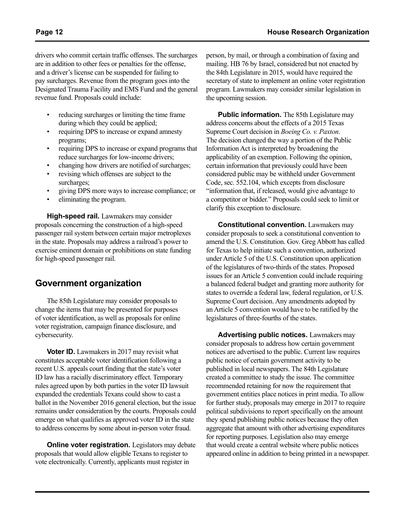- reducing surcharges or limiting the time frame during which they could be applied;
- requiring DPS to increase or expand amnesty programs;
- requiring DPS to increase or expand programs that reduce surcharges for low-income drivers;
- changing how drivers are notified of surcharges;
- revising which offenses are subject to the surcharges;
- giving DPS more ways to increase compliance; or
- eliminating the program.

**High-speed rail.** Lawmakers may consider proposals concerning the construction of a high-speed passenger rail system between certain major metroplexes in the state. Proposals may address a railroad's power to exercise eminent domain or prohibitions on state funding for high-speed passenger rail.

## **Government organization**

The 85th Legislature may consider proposals to change the items that may be presented for purposes of voter identification, as well as proposals for online voter registration, campaign finance disclosure, and cybersecurity.

**Voter ID.** Lawmakers in 2017 may revisit what constitutes acceptable voter identification following a recent U.S. appeals court finding that the state's voter ID law has a racially discriminatory effect. Temporary rules agreed upon by both parties in the voter ID lawsuit expanded the credentials Texans could show to cast a ballot in the November 2016 general election, but the issue remains under consideration by the courts. Proposals could emerge on what qualifies as approved voter ID in the state to address concerns by some about in-person voter fraud.

**Online voter registration.** Legislators may debate proposals that would allow eligible Texans to register to vote electronically. Currently, applicants must register in

person, by mail, or through a combination of faxing and mailing. HB 76 by Israel, considered but not enacted by the 84th Legislature in 2015, would have required the secretary of state to implement an online voter registration program. Lawmakers may consider similar legislation in the upcoming session.

**Public information.** The 85th Legislature may address concerns about the effects of a 2015 Texas Supreme Court decision in *Boeing Co. v. Paxton*. The decision changed the way a portion of the Public Information Act is interpreted by broadening the applicability of an exemption. Following the opinion, certain information that previously could have been considered public may be withheld under Government Code, sec. 552.104, which excepts from disclosure "information that, if released, would give advantage to a competitor or bidder." Proposals could seek to limit or clarify this exception to disclosure.

**Constitutional convention.** Lawmakers may consider proposals to seek a constitutional convention to amend the U.S. Constitution. Gov. Greg Abbott has called for Texas to help initiate such a convention, authorized under Article 5 of the U.S. Constitution upon application of the legislatures of two-thirds of the states. Proposed issues for an Article 5 convention could include requiring a balanced federal budget and granting more authority for states to override a federal law, federal regulation, or U.S. Supreme Court decision. Any amendments adopted by an Article 5 convention would have to be ratified by the legislatures of three-fourths of the states.

**Advertising public notices.** Lawmakers may consider proposals to address how certain government notices are advertised to the public. Current law requires public notice of certain government activity to be published in local newspapers. The 84th Legislature created a committee to study the issue. The committee recommended retaining for now the requirement that government entities place notices in print media. To allow for further study, proposals may emerge in 2017 to require political subdivisions to report specifically on the amount they spend publishing public notices because they often aggregate that amount with other advertising expenditures for reporting purposes. Legislation also may emerge that would create a central website where public notices appeared online in addition to being printed in a newspaper.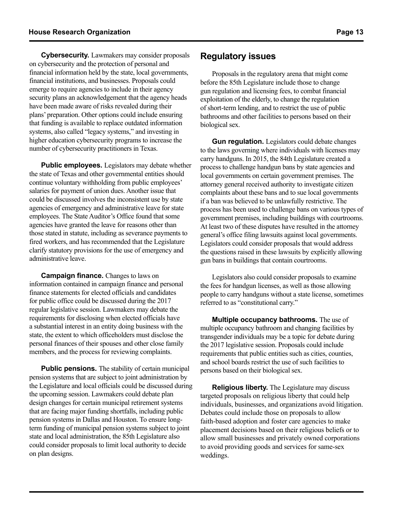**Cybersecurity.** Lawmakers may consider proposals on cybersecurity and the protection of personal and financial information held by the state, local governments, financial institutions, and businesses. Proposals could emerge to require agencies to include in their agency security plans an acknowledgement that the agency heads have been made aware of risks revealed during their plans' preparation. Other options could include ensuring that funding is available to replace outdated information systems, also called "legacy systems," and investing in higher education cybersecurity programs to increase the number of cybersecurity practitioners in Texas.

**Public employees.** Legislators may debate whether the state of Texas and other governmental entities should continue voluntary withholding from public employees' salaries for payment of union dues. Another issue that could be discussed involves the inconsistent use by state agencies of emergency and administrative leave for state employees. The State Auditor's Office found that some agencies have granted the leave for reasons other than those stated in statute, including as severance payments to fired workers, and has recommended that the Legislature clarify statutory provisions for the use of emergency and administrative leave.

**Campaign finance.** Changes to laws on information contained in campaign finance and personal finance statements for elected officials and candidates for public office could be discussed during the 2017 regular legislative session. Lawmakers may debate the requirements for disclosing when elected officials have a substantial interest in an entity doing business with the state, the extent to which officeholders must disclose the personal finances of their spouses and other close family members, and the process for reviewing complaints.

**Public pensions.** The stability of certain municipal pension systems that are subject to joint administration by the Legislature and local officials could be discussed during the upcoming session. Lawmakers could debate plan design changes for certain municipal retirement systems that are facing major funding shortfalls, including public pension systems in Dallas and Houston. To ensure longterm funding of municipal pension systems subject to joint state and local administration, the 85th Legislature also could consider proposals to limit local authority to decide on plan designs.

### **Regulatory issues**

Proposals in the regulatory arena that might come before the 85th Legislature include those to change gun regulation and licensing fees, to combat financial exploitation of the elderly, to change the regulation of short-term lending, and to restrict the use of public bathrooms and other facilities to persons based on their biological sex.

**Gun regulation.** Legislators could debate changes to the laws governing where individuals with licenses may carry handguns. In 2015, the 84th Legislature created a process to challenge handgun bans by state agencies and local governments on certain government premises. The attorney general received authority to investigate citizen complaints about these bans and to sue local governments if a ban was believed to be unlawfully restrictive. The process has been used to challenge bans on various types of government premises, including buildings with courtrooms. At least two of these disputes have resulted in the attorney general's office filing lawsuits against local governments. Legislators could consider proposals that would address the questions raised in these lawsuits by explicitly allowing gun bans in buildings that contain courtrooms.

Legislators also could consider proposals to examine the fees for handgun licenses, as well as those allowing people to carry handguns without a state license, sometimes referred to as "constitutional carry."

**Multiple occupancy bathrooms.** The use of multiple occupancy bathroom and changing facilities by transgender individuals may be a topic for debate during the 2017 legislative session. Proposals could include requirements that public entities such as cities, counties, and school boards restrict the use of such facilities to persons based on their biological sex.

**Religious liberty.** The Legislature may discuss targeted proposals on religious liberty that could help individuals, businesses, and organizations avoid litigation. Debates could include those on proposals to allow faith-based adoption and foster care agencies to make placement decisions based on their religious beliefs or to allow small businesses and privately owned corporations to avoid providing goods and services for same-sex weddings.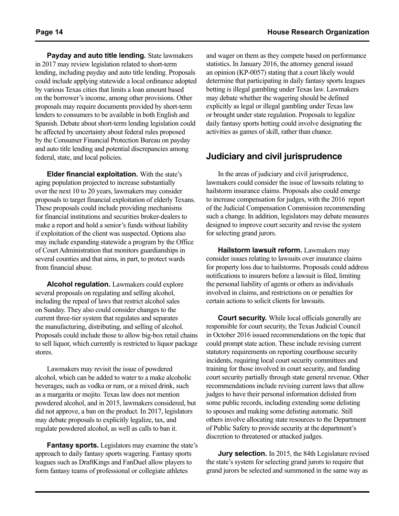**Payday and auto title lending.** State lawmakers in 2017 may review legislation related to short-term lending, including payday and auto title lending. Proposals could include applying statewide a local ordinance adopted by various Texas cities that limits a loan amount based on the borrower's income, among other provisions. Other proposals may require documents provided by short-term lenders to consumers to be available in both English and Spanish. Debate about short-term lending legislation could be affected by uncertainty about federal rules proposed by the Consumer Financial Protection Bureau on payday and auto title lending and potential discrepancies among federal, state, and local policies.

**Elder financial exploitation.** With the state's aging population projected to increase substantially over the next 10 to 20 years, lawmakers may consider proposals to target financial exploitation of elderly Texans. These proposals could include providing mechanisms for financial institutions and securities broker-dealers to make a report and hold a senior's funds without liability if exploitation of the client was suspected. Options also may include expanding statewide a program by the Office of Court Administration that monitors guardianships in several counties and that aims, in part, to protect wards from financial abuse.

**Alcohol regulation.** Lawmakers could explore several proposals on regulating and selling alcohol, including the repeal of laws that restrict alcohol sales on Sunday. They also could consider changes to the current three-tier system that regulates and separates the manufacturing, distributing, and selling of alcohol. Proposals could include those to allow big-box retail chains to sell liquor, which currently is restricted to liquor package stores.

Lawmakers may revisit the issue of powdered alcohol, which can be added to water to a make alcoholic beverages, such as vodka or rum, or a mixed drink, such as a margarita or mojito. Texas law does not mention powdered alcohol, and in 2015, lawmakers considered, but did not approve, a ban on the product. In 2017, legislators may debate proposals to explicitly legalize, tax, and regulate powdered alcohol, as well as calls to ban it.

**Fantasy sports.** Legislators may examine the state's approach to daily fantasy sports wagering. Fantasy sports leagues such as DraftKings and FanDuel allow players to form fantasy teams of professional or collegiate athletes

and wager on them as they compete based on performance statistics. In January 2016, the attorney general issued an opinion (KP-0057) stating that a court likely would determine that participating in daily fantasy sports leagues betting is illegal gambling under Texas law. Lawmakers may debate whether the wagering should be defined explicitly as legal or illegal gambling under Texas law or brought under state regulation. Proposals to legalize daily fantasy sports betting could involve designating the activities as games of skill, rather than chance.

# **Judiciary and civil jurisprudence**

In the areas of judiciary and civil jurisprudence, lawmakers could consider the issue of lawsuits relating to hailstorm insurance claims. Proposals also could emerge to increase compensation for judges, with the 2016 report of the Judicial Compensation Commission recommending such a change. In addition, legislators may debate measures designed to improve court security and revise the system for selecting grand jurors.

**Hailstorm lawsuit reform.** Lawmakers may consider issues relating to lawsuits over insurance claims for property loss due to hailstorms. Proposals could address notifications to insurers before a lawsuit is filed, limiting the personal liability of agents or others as individuals involved in claims, and restrictions on or penalties for certain actions to solicit clients for lawsuits.

**Court security.** While local officials generally are responsible for court security, the Texas Judicial Council in October 2016 issued recommendations on the topic that could prompt state action. These include revising current statutory requirements on reporting courthouse security incidents, requiring local court security committees and training for those involved in court security, and funding court security partially through state general revenue. Other recommendations include revising current laws that allow judges to have their personal information delisted from some public records, including extending some delisting to spouses and making some delisting automatic. Still others involve allocating state resources to the Department of Public Safety to provide security at the department's discretion to threatened or attacked judges.

**Jury selection.** In 2015, the 84th Legislature revised the state's system for selecting grand jurors to require that grand jurors be selected and summoned in the same way as